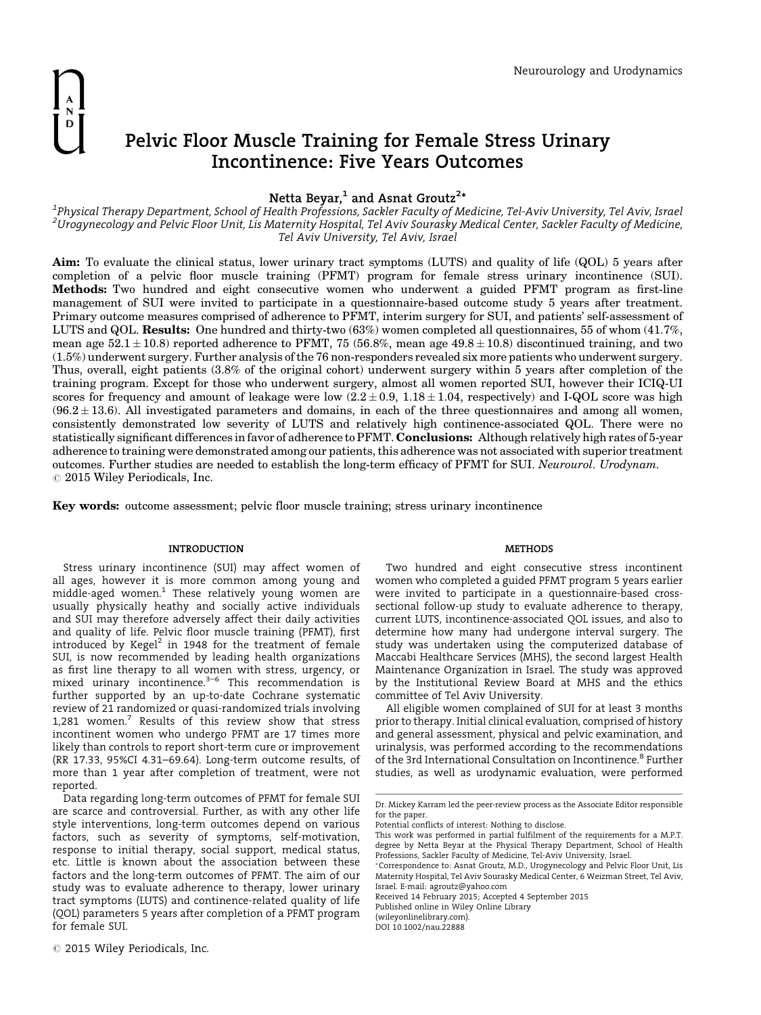# Pelvic Floor Muscle Training for Female Stress Urinary Incontinence: Five Years Outcomes

Netta Beyar, $<sup>1</sup>$  and Asnat Groutz<sup>2\*</sup></sup>

**Netta Beyar,<sup>1</sup> and Asnat Groutz<sup>2\*</sup><br>Physical Therapy Department, School of Health Professions, Sackler Faculty of Medicine, Tel-Aviv University, Tel Aviv, Israel وr**  $^2$ Urogynecology and Pelvic Floor Unit, Lis Maternity Hospital, Tel Aviv Sourasky Medical Center, Sackler Faculty of Medicine, Tel Aviv University, Tel Aviv, Israel

Aim: To evaluate the clinical status, lower urinary tract symptoms (LUTS) and quality of life (QOL) 5 years after completion of a pelvic floor muscle training (PFMT) program for female stress urinary incontinence (SUI). Methods: Two hundred and eight consecutive women who underwent a guided PFMT program as first-line management of SUI were invited to participate in a questionnaire-based outcome study 5 years after treatment. Primary outcome measures comprised of adherence to PFMT, interim surgery for SUI, and patients' self-assessment of LUTS and QOL. Results: One hundred and thirty-two (63%) women completed all questionnaires, 55 of whom (41.7%, mean age  $52.1 \pm 10.8$ ) reported adherence to PFMT, 75 (56.8%, mean age  $49.8 \pm 10.8$ ) discontinued training, and two (1.5%) underwent surgery. Further analysis of the 76 non-responders revealed six more patients who underwent surgery. Thus, overall, eight patients (3.8% of the original cohort) underwent surgery within 5 years after completion of the training program. Except for those who underwent surgery, almost all women reported SUI, however their ICIQ-UI scores for frequency and amount of leakage were low  $(2.2 \pm 0.9, 1.18 \pm 1.04,$  respectively) and I-QOL score was high  $(96.2 \pm 13.6)$ . All investigated parameters and domains, in each of the three questionnaires and among all women, consistently demonstrated low severity of LUTS and relatively high continence-associated QOL. There were no statistically significant differences in favor of adherence to PFMT. Conclusions: Although relatively high rates of 5-year adherence to training were demonstrated among our patients, this adherence was not associated with superior treatment outcomes. Further studies are needed to establish the long-term efficacy of PFMT for SUI. Neurourol. Urodynam.  $© 2015 Wiley Periodicals, Inc.$ 

Key words: outcome assessment; pelvic floor muscle training; stress urinary incontinence

# **INTRODUCTION**

Stress urinary incontinence (SUI) may affect women of all ages, however it is more common among young and  $mid$ dle-aged women. $1$  These relatively young women are usually physically heathy and socially active individuals and SUI may therefore adversely affect their daily activities and quality of life. Pelvic floor muscle training (PFMT), first introduced by Kegel<sup>2</sup> in 1948 for the treatment of female SUI, is now recommended by leading health organizations as first line therapy to all women with stress, urgency, or<br>mixed urinary incontinence.<sup>3–6</sup> This recommendation is further supported by an up-to-date Cochrane systematic review of 21 randomized or quasi-randomized trials involving 1,281 women.<sup>7</sup> Results of this review show that stress incontinent women who undergo PFMT are 17 times more likely than controls to report short-term cure or improvement (RR 17.33, 95%CI 4.31–69.64). Long-term outcome results, of more than 1 year after completion of treatment, were not reported.

Data regarding long-term outcomes of PFMT for female SUI are scarce and controversial. Further, as with any other life style interventions, long-term outcomes depend on various factors, such as severity of symptoms, self-motivation, response to initial therapy, social support, medical status, etc. Little is known about the association between these factors and the long-term outcomes of PFMT. The aim of our study was to evaluate adherence to therapy, lower urinary tract symptoms (LUTS) and continence-related quality of life (QOL) parameters 5 years after completion of a PFMT program

 $\odot$  2015 Wiley Periodicals, Inc.

# **METHODS**

Two hundred and eight consecutive stress incontinent women who completed a guided PFMT program 5 years earlier were invited to participate in a questionnaire-based crosssectional follow-up study to evaluate adherence to therapy, current LUTS, incontinence-associated QOL issues, and also to determine how many had undergone interval surgery. The study was undertaken using the computerized database of Maccabi Healthcare Services (MHS), the second largest Health Maintenance Organization in Israel. The study was approved by the Institutional Review Board at MHS and the ethics committee of Tel Aviv University.

All eligible women complained of SUI for at least 3 months prior to therapy. Initial clinical evaluation, comprised of history and general assessment, physical and pelvic examination, and urinalysis, was performed according to the recommendations of the 3rd International Consultation on Incontinence.<sup>8</sup> Further studies, as well as urodynamic evaluation, were performed

Received 14 February 2015; Accepted 4 September 2015

Published online in Wiley Online Library (wileyonlinelibrary.com).

DOI 10.1002/nau.22888

Dr. Mickey Karram led the peer-review process as the Associate Editor responsible for the paper.

Potential conflicts of interest: Nothing to disclose.

This work was performed in partial fulfilment of the requirements for a M.P.T. degree by Netta Beyar at the Physical Therapy Department, School of Health Professions, Sackler Faculty of Medicine, Tel-Aviv University, Israel.

Correspondence to: Asnat Groutz, M.D., Urogynecology and Pelvic Floor Unit, Lis Maternity Hospital, Tel Aviv Sourasky Medical Center, 6 Weizman Street, Tel Aviv, Israel. E-mail: agroutz@yahoo.com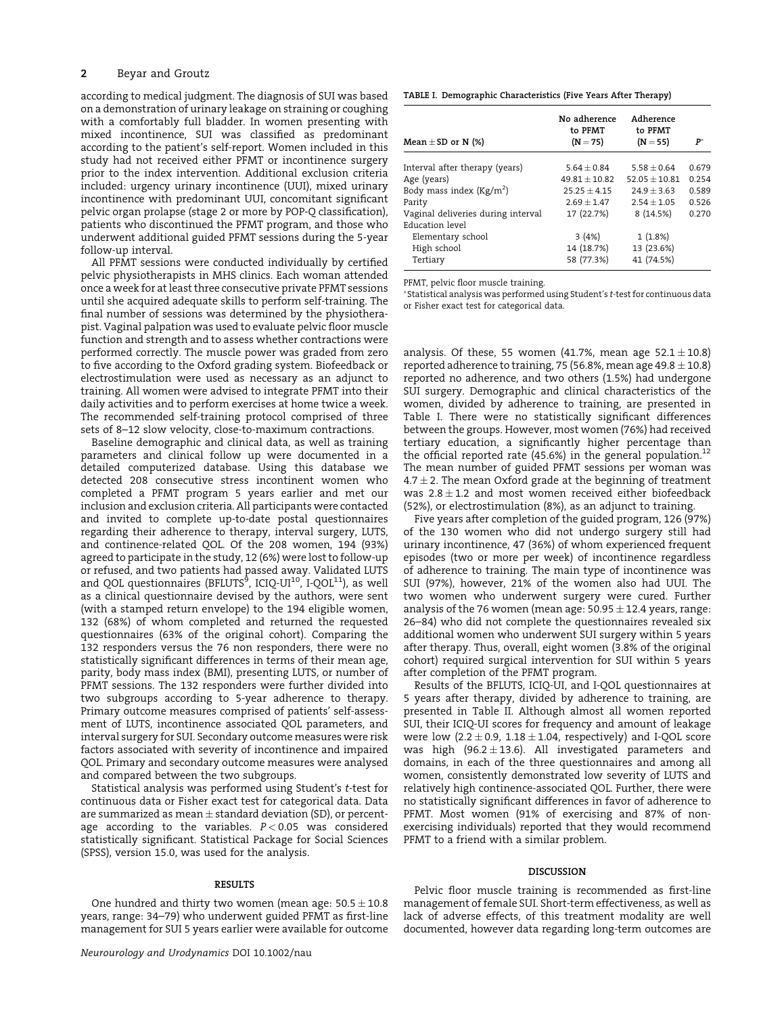## 2 Beyar and Groutz

according to medical judgment. The diagnosis of SUI was based on a demonstration of urinary leakage on straining or coughing with a comfortably full bladder. In women presenting with mixed incontinence, SUI was classified as predominant according to the patient's self-report. Women included in this study had not received either PFMT or incontinence surgery prior to the index intervention. Additional exclusion criteria included: urgency urinary incontinence (UUI), mixed urinary incontinence with predominant UUI, concomitant significant pelvic organ prolapse (stage 2 or more by POP-Q classification), patients who discontinued the PFMT program, and those who underwent additional guided PFMT sessions during the 5-year follow-up interval.

All PFMT sessions were conducted individually by certified pelvic physiotherapists in MHS clinics. Each woman attended once a week for at least three consecutive private PFMT sessions until she acquired adequate skills to perform self-training. The final number of sessions was determined by the physiotherapist. Vaginal palpation was used to evaluate pelvic floor muscle function and strength and to assess whether contractions were performed correctly. The muscle power was graded from zero to five according to the Oxford grading system. Biofeedback or electrostimulation were used as necessary as an adjunct to training. All women were advised to integrate PFMT into their daily activities and to perform exercises at home twice a week. The recommended self-training protocol comprised of three sets of 8–12 slow velocity, close-to-maximum contractions.

Baseline demographic and clinical data, as well as training parameters and clinical follow up were documented in a detailed computerized database. Using this database we detected 208 consecutive stress incontinent women who completed a PFMT program 5 years earlier and met our inclusion and exclusion criteria. All participants were contacted and invited to complete up-to-date postal questionnaires regarding their adherence to therapy, interval surgery, LUTS, and continence-related QOL. Of the 208 women, 194 (93%) agreed to participate in the study, 12 (6%) were lost to follow-up or refused, and two patients had passed away. Validated LUTS and QOL questionnaires (BFLUTS<sup>9</sup>, ICIQ-UI<sup>10</sup>, I-QOL<sup>11</sup>), as well as a clinical questionnaire devised by the authors, were sent (with a stamped return envelope) to the 194 eligible women, 132 (68%) of whom completed and returned the requested questionnaires (63% of the original cohort). Comparing the 132 responders versus the 76 non responders, there were no statistically significant differences in terms of their mean age, parity, body mass index (BMI), presenting LUTS, or number of PFMT sessions. The 132 responders were further divided into two subgroups according to 5-year adherence to therapy. Primary outcome measures comprised of patients' self-assessment of LUTS, incontinence associated QOL parameters, and interval surgery for SUI. Secondary outcome measures were risk factors associated with severity of incontinence and impaired QOL. Primary and secondary outcome measures were analysed and compared between the two subgroups.

Statistical analysis was performed using Student's t-test for continuous data or Fisher exact test for categorical data. Data are summarized as mean  $\pm$  standard deviation (SD), or percentage according to the variables.  $P < 0.05$  was considered statistically significant. Statistical Package for Social Sciences (SPSS), version 15.0, was used for the analysis.

#### RESULTS

One hundred and thirty two women (mean age:  $50.5 \pm 10.8$ years, range: 34–79) who underwent guided PFMT as first-line management for SUI 5 years earlier were available for outcome TABLE I. Demographic Characteristics (Five Years After Therapy)

| Mean $\pm$ SD or N (%)                                | No adherence<br>to PFMT<br>$(N = 75)$ | Adherence<br>to PFMT<br>$(N = 55)$ | P*    |
|-------------------------------------------------------|---------------------------------------|------------------------------------|-------|
| Interval after therapy (years)                        | $5.64 + 0.84$                         | $5.58 + 0.64$                      | 0.679 |
| Age (years)                                           | $49.81 + 10.82$                       | $52.05 + 10.81$                    | 0.254 |
| Body mass index $(Kg/m2)$                             | $25.25 + 4.15$                        | $24.9 + 3.63$                      | 0.589 |
| Parity                                                | $2.69 + 1.47$                         | $2.54 + 1.05$                      | 0.526 |
| Vaginal deliveries during interval<br>Education level | 17 (22.7%)                            | 8(14.5%)                           | 0.270 |
| Elementary school                                     | 3(4%)                                 | 1(1.8%)                            |       |
| High school<br>Tertiary                               | 14 (18.7%)<br>58 (77.3%)              | 13 (23.6%)<br>41 (74.5%)           |       |
|                                                       |                                       |                                    |       |

PFMT, pelvic floor muscle training.

Statistical analysis was performed using Student's t-test for continuous data or Fisher exact test for categorical data.

analysis. Of these, 55 women (41.7%, mean age  $52.1 \pm 10.8$ ) reported adherence to training, 75 (56.8%, mean age  $49.8 \pm 10.8$ ) reported no adherence, and two others (1.5%) had undergone SUI surgery. Demographic and clinical characteristics of the women, divided by adherence to training, are presented in Table I. There were no statistically significant differences between the groups. However, most women (76%) had received tertiary education, a significantly higher percentage than the official reported rate (45.6%) in the general population.<sup>12</sup> The mean number of guided PFMT sessions per woman was  $4.7 \pm 2$ . The mean Oxford grade at the beginning of treatment was  $2.8 \pm 1.2$  and most women received either biofeedback (52%), or electrostimulation (8%), as an adjunct to training.

Five years after completion of the guided program, 126 (97%) of the 130 women who did not undergo surgery still had urinary incontinence, 47 (36%) of whom experienced frequent episodes (two or more per week) of incontinence regardless of adherence to training. The main type of incontinence was SUI (97%), however, 21% of the women also had UUI. The two women who underwent surgery were cured. Further analysis of the 76 women (mean age:  $50.95 \pm 12.4$  years, range: 26–84) who did not complete the questionnaires revealed six additional women who underwent SUI surgery within 5 years after therapy. Thus, overall, eight women (3.8% of the original cohort) required surgical intervention for SUI within 5 years after completion of the PFMT program.

Results of the BFLUTS, ICIQ-UI, and I-QOL questionnaires at 5 years after therapy, divided by adherence to training, are presented in Table II. Although almost all women reported SUI, their ICIQ-UI scores for frequency and amount of leakage were low (2.2  $\pm$  0.9, 1.18  $\pm$  1.04, respectively) and I-QOL score was high (96.2 $\pm$ 13.6). All investigated parameters and domains, in each of the three questionnaires and among all women, consistently demonstrated low severity of LUTS and relatively high continence-associated QOL. Further, there were no statistically significant differences in favor of adherence to PFMT. Most women (91% of exercising and 87% of nonexercising individuals) reported that they would recommend PFMT to a friend with a similar problem.

### DISCUSSION

Pelvic floor muscle training is recommended as first-line management of female SUI. Short-term effectiveness, as well as lack of adverse effects, of this treatment modality are well documented, however data regarding long-term outcomes are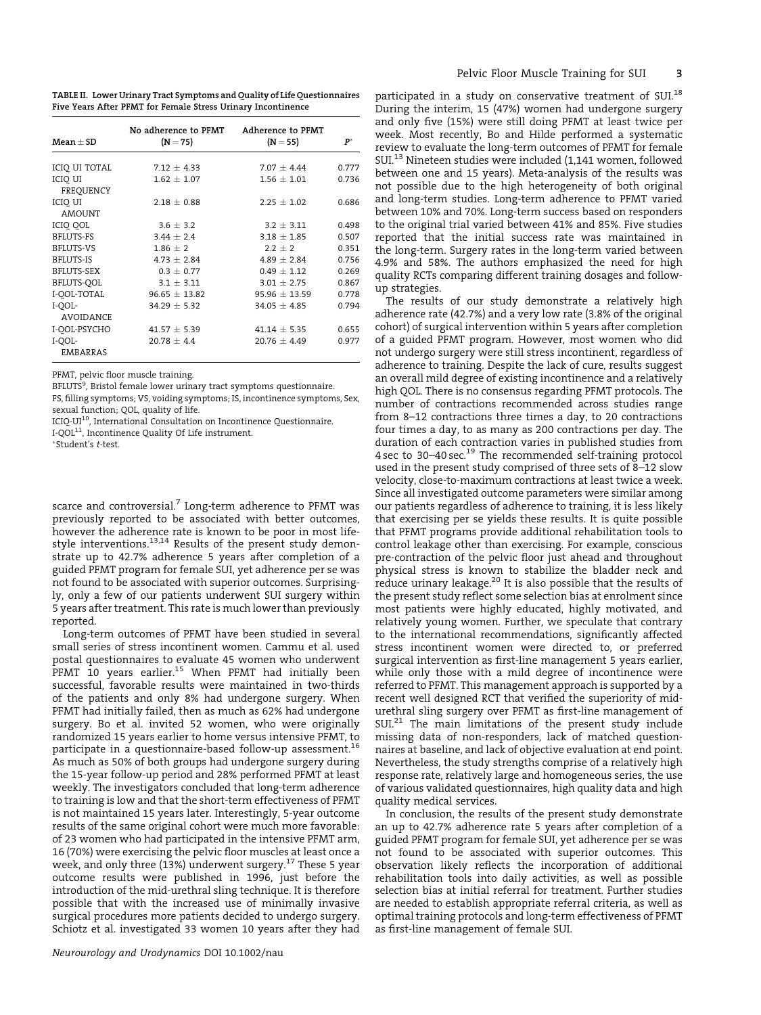|  |                                                              | TABLE II. Lower Urinary Tract Symptoms and Quality of Life Questionnaires |  |
|--|--------------------------------------------------------------|---------------------------------------------------------------------------|--|
|  | Five Years After PFMT for Female Stress Urinary Incontinence |                                                                           |  |

| $Mean + SD$                | No adherence to PFMT Adherence to PFMT<br>$(N = 75)$ | $(N = 55)$       | $P^*$ |
|----------------------------|------------------------------------------------------|------------------|-------|
| ICIO UI TOTAL              | $7.12 \pm 4.33$                                      | $7.07 \pm 4.44$  | 0.777 |
| ICIO UI<br>FREQUENCY       | $1.62 \pm 1.07$                                      | $1.56 \pm 1.01$  | 0.736 |
| ICIO UI<br><b>AMOUNT</b>   | $2.18 + 0.88$                                        | $2.25 + 1.02$    | 0.686 |
| ICIO QOL                   | $3.6 \pm 3.2$                                        | $3.2 + 3.11$     | 0.498 |
| <b>BFLUTS-FS</b>           | $3.44 + 2.4$                                         | $3.18 \pm 1.85$  | 0.507 |
| <b>BFLUTS-VS</b>           | $1.86 \pm 2$                                         | $2.2 + 2$        | 0.351 |
| <b>BFLUTS-IS</b>           | $4.73 \pm 2.84$                                      | $4.89 \pm 2.84$  | 0.756 |
| BFLUTS-SEX                 | $0.3 \pm 0.77$                                       | $0.49 \pm 1.12$  | 0.269 |
| BFLUTS-OOL                 | $3.1 \pm 3.11$                                       | $3.01 \pm 2.75$  | 0.867 |
| I-OOL-TOTAL                | $96.65 \pm 13.82$                                    | $95.96 + 13.59$  | 0.778 |
| I-OOL-<br><b>AVOIDANCE</b> | $34.29 \pm 5.32$                                     | $34.05 \pm 4.85$ | 0.794 |
| I-OOL-PSYCHO               | $41.57 \pm 5.39$                                     | $41.14 \pm 5.35$ | 0.655 |
| I-OOL-<br><b>EMBARRAS</b>  | $20.78 \pm 4.4$                                      | $20.76 \pm 4.49$ | 0.977 |

PFMT, pelvic floor muscle training.

BFLUTS<sup>9</sup>, Bristol female lower urinary tract symptoms questionnaire. FS, filling symptoms; VS, voiding symptoms; IS, incontinence symptoms, Sex, sexual function; QOL, quality of life.

ICIQ-UI<sup>10</sup>, International Consultation on Incontinence Questionnaire.

I-QOL11, Incontinence Quality Of Life instrument.

Student's t-test.

scarce and controversial. $^7$  Long-term adherence to PFMT was previously reported to be associated with better outcomes, however the adherence rate is known to be poor in most lifestyle interventions.<sup>13,14</sup> Results of the present study demonstrate up to 42.7% adherence 5 years after completion of a guided PFMT program for female SUI, yet adherence per se was not found to be associated with superior outcomes. Surprisingly, only a few of our patients underwent SUI surgery within 5 years after treatment. This rate is much lower than previously reported.

Long-term outcomes of PFMT have been studied in several small series of stress incontinent women. Cammu et al. used postal questionnaires to evaluate 45 women who underwent  $P$ FMT 10 years earlier.<sup>15</sup> When PFMT had initially been successful, favorable results were maintained in two-thirds of the patients and only 8% had undergone surgery. When PFMT had initially failed, then as much as 62% had undergone surgery. Bo et al. invited 52 women, who were originally randomized 15 years earlier to home versus intensive PFMT, to participate in a questionnaire-based follow-up assessment.<sup>16</sup> As much as 50% of both groups had undergone surgery during the 15-year follow-up period and 28% performed PFMT at least weekly. The investigators concluded that long-term adherence to training is low and that the short-term effectiveness of PFMT is not maintained 15 years later. Interestingly, 5-year outcome results of the same original cohort were much more favorable: of 23 women who had participated in the intensive PFMT arm, 16 (70%) were exercising the pelvic floor muscles at least once a week, and only three (13%) underwent surgery.<sup>17</sup> These 5 year outcome results were published in 1996, just before the introduction of the mid-urethral sling technique. It is therefore possible that with the increased use of minimally invasive surgical procedures more patients decided to undergo surgery. Schiotz et al. investigated 33 women 10 years after they had

participated in a study on conservative treatment of SUI. $^{18}$ During the interim, 15 (47%) women had undergone surgery and only five (15%) were still doing PFMT at least twice per week. Most recently, Bo and Hilde performed a systematic review to evaluate the long-term outcomes of PFMT for female SUI.13 Nineteen studies were included (1,141 women, followed between one and 15 years). Meta-analysis of the results was not possible due to the high heterogeneity of both original and long-term studies. Long-term adherence to PFMT varied between 10% and 70%. Long-term success based on responders to the original trial varied between 41% and 85%. Five studies reported that the initial success rate was maintained in the long-term. Surgery rates in the long-term varied between 4.9% and 58%. The authors emphasized the need for high quality RCTs comparing different training dosages and followup strategies.

The results of our study demonstrate a relatively high adherence rate (42.7%) and a very low rate (3.8% of the original cohort) of surgical intervention within 5 years after completion of a guided PFMT program. However, most women who did not undergo surgery were still stress incontinent, regardless of adherence to training. Despite the lack of cure, results suggest an overall mild degree of existing incontinence and a relatively high QOL. There is no consensus regarding PFMT protocols. The number of contractions recommended across studies range from 8–12 contractions three times a day, to 20 contractions four times a day, to as many as 200 contractions per day. The duration of each contraction varies in published studies from 4 sec to 30–40 sec.<sup>19</sup> The recommended self-training protocol used in the present study comprised of three sets of  $\check{\text{8--12}}$  slow velocity, close-to-maximum contractions at least twice a week. Since all investigated outcome parameters were similar among our patients regardless of adherence to training, it is less likely that exercising per se yields these results. It is quite possible that PFMT programs provide additional rehabilitation tools to control leakage other than exercising. For example, conscious pre-contraction of the pelvic floor just ahead and throughout physical stress is known to stabilize the bladder neck and reduce urinary leakage.<sup>20</sup> It is also possible that the results of the present study reflect some selection bias at enrolment since most patients were highly educated, highly motivated, and relatively young women. Further, we speculate that contrary to the international recommendations, significantly affected stress incontinent women were directed to, or preferred surgical intervention as first-line management 5 years earlier, while only those with a mild degree of incontinence were referred to PFMT. This management approach is supported by a recent well designed RCT that verified the superiority of midurethral sling surgery over PFMT as first-line management of  $SUI<sup>21</sup>$  The main limitations of the present study include missing data of non-responders, lack of matched questionnaires at baseline, and lack of objective evaluation at end point. Nevertheless, the study strengths comprise of a relatively high response rate, relatively large and homogeneous series, the use of various validated questionnaires, high quality data and high quality medical services.

In conclusion, the results of the present study demonstrate an up to 42.7% adherence rate 5 years after completion of a guided PFMT program for female SUI, yet adherence per se was not found to be associated with superior outcomes. This observation likely reflects the incorporation of additional rehabilitation tools into daily activities, as well as possible selection bias at initial referral for treatment. Further studies are needed to establish appropriate referral criteria, as well as optimal training protocols and long-term effectiveness of PFMT as first-line management of female SUI.